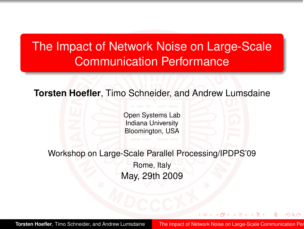# The Impact of Network Noise on Large-Scale Communication Performance

**Torsten Hoefler**, Timo Schneider, and Andrew Lumsdaine

Open Systems Lab Indiana University Bloomington, USA

Workshop on Large-Scale Parallel Processing/IPDPS'09 Rome, Italy May, 29th 2009

**Torsten Hoefler**, Timo Schneider, and Andrew Lumsdaine The Impact of Network Noise on Large-Scale Communication Per

<span id="page-0-0"></span>つくい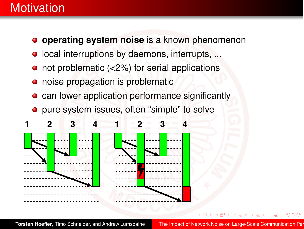## **Motivation**

- **o** operating system noise is a known phenomenon
- $\bullet$  local interruptions by daemons, interrupts, ...
- not problematic (<2%) for serial applications
- noise propagation is problematic
- **•** can lower application performance significantly
- pure system issues, often "simple" to solve



**Torsten Hoefler**, Timo Schneider, and Andrew Lumsdaine The Impact of Network Noise on Large-Scale Communication Per

つくい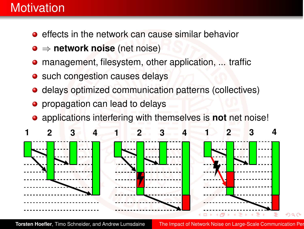# **Motivation**

- $\bullet$  effects in the network can cause similar behavior
- ⇒ **network noise** (net noise)
- management, filesystem, other application, ... traffic
- such congestion causes delays
- delays optimized communication patterns (collectives)
- propagation can lead to delays
- applications interfering with themselves is **not** net noise!



**Torsten Hoefler**, Timo Schneider, and Andrew Lumsdaine The Impact of Network Noise on Large-Scale Communication Per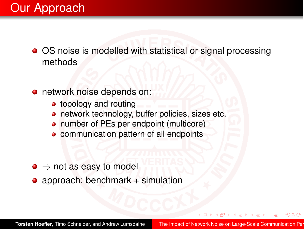- OS noise is modelled with statistical or signal processing methods
- **o** network noise depends on:
	- **•** topology and routing
	- **o** network technology, buffer policies, sizes etc.
	- number of PEs per endpoint (multicore)
	- communication pattern of all endpoints  $\bullet$
- $\bullet \Rightarrow$  not as easy to model
- approach: benchmark + simulation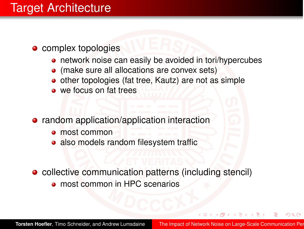- complex topologies
	- network noise can easily be avoided in tori/hypercubes
	- (make sure all allocations are convex sets)
	- other topologies (fat tree, Kautz) are not as simple
	- we focus on fat trees
- **•** random application/application interaction
	- **o** most common
	- also models random filesystem traffic
- collective communication patterns (including stencil) **o** most common in HPC scenarios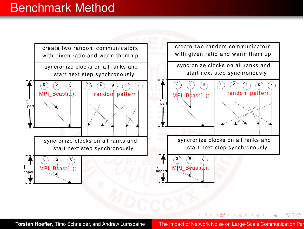## Benchmark Method



**Torsten Hoefler**, Timo Schneider, and Andrew Lumsdaine The Impact of Network Noise on Large-Scale Communication Per

<span id="page-5-0"></span>イロト イ押ト イヨト イヨト

э

 $QQ$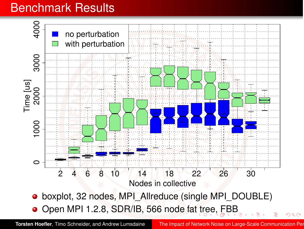## Benchmark Results



**Torsten Hoefler**, Timo Schneider, and Andrew Lumsdaine The Impact of Network Noise on Large-Scale Communication Per

<span id="page-6-0"></span> $Q$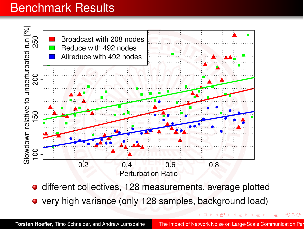## Benchmark Results



- **o** different collectives, 128 measurements, average plotted
- very high variance (only 128 samples, background load)

<span id="page-7-0"></span>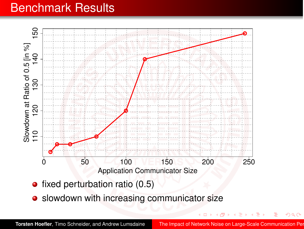## Benchmark Results



**•** slowdown with increasing communicator size

 $\leftarrow$   $\Box$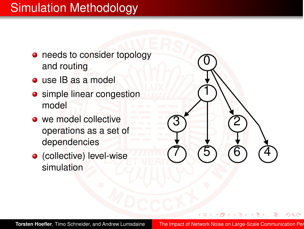# Simulation Methodology

- needs to consider topology and routing
- use IB as a model
- **o** simple linear congestion model
- we model collective operations as a set of dependencies
- (collective) level-wise simulation

**Torsten Hoefler**, Timo Schneider, and Andrew Lumsdaine The Impact of Network Noise on Large-Scale Communication Per

1

3

7

2

5 (6) (4

つくい

 $\overline{0}$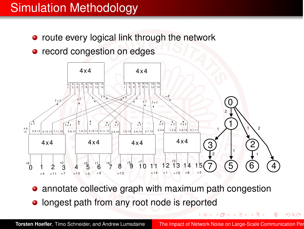# Simulation Methodology

- route every logical link through the network
- record congestion on edges



- annotate collective graph with maximum path congestion
- longest path from any root node is reported

 $2Q$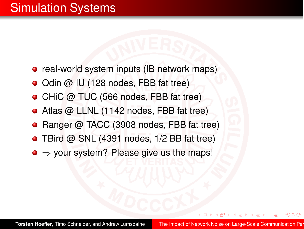- real-world system inputs (IB network maps)
- Odin @ IU (128 nodes, FBB fat tree)
- CHiC @ TUC (566 nodes, FBB fat tree)
- Atlas @ LLNL (1142 nodes, FBB fat tree)
- Ranger @ TACC (3908 nodes, FBB fat tree)
- TBird @ SNL (4391 nodes, 1/2 BB fat tree)
- <span id="page-11-0"></span> $\bullet \Rightarrow$  your system? Please give us the maps!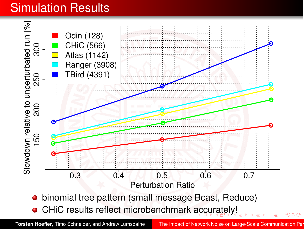# Simulation Results



<span id="page-12-0"></span>**Torsten Hoefler**, Timo Schneider, and Andrew Lumsdaine The Impact of Network Noise on Large-Scale Communication Per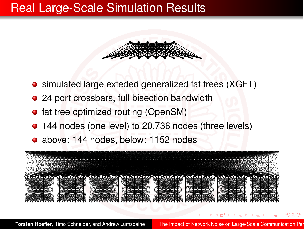## Real Large-Scale Simulation Results



- simulated large exteded generalized fat trees (XGFT)
- 24 port crossbars, full bisection bandwidth
- fat tree optimized routing (OpenSM)
- 144 nodes (one level) to 20,736 nodes (three levels)
- above: 144 nodes, below: 1152 nodes



**Torsten Hoefler**, Timo Schneider, and Andrew Lumsdaine The Impact of Network Noise on Large-Scale Communication Per

<span id="page-13-0"></span>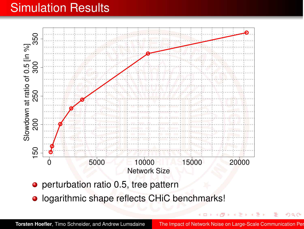# Simulation Results



- **•** perturbation ratio 0.5, tree pattern
- **·** logarithmic shape reflects CHiC benchmarks!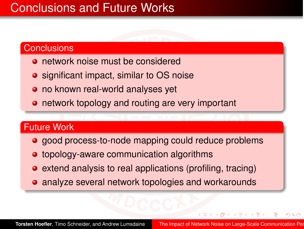# Conclusions and Future Works

### **Conclusions**

- **o** network noise must be considered
- **•** significant impact, similar to OS noise
- no known real-world analyses yet
- **•** network topology and routing are very important

#### Future Work

- good process-to-node mapping could reduce problems
- **•** topology-aware communication algorithms
- **•** extend analysis to real applications (profiling, tracing)
- **•** analyze several network topologies and workarounds

つくい